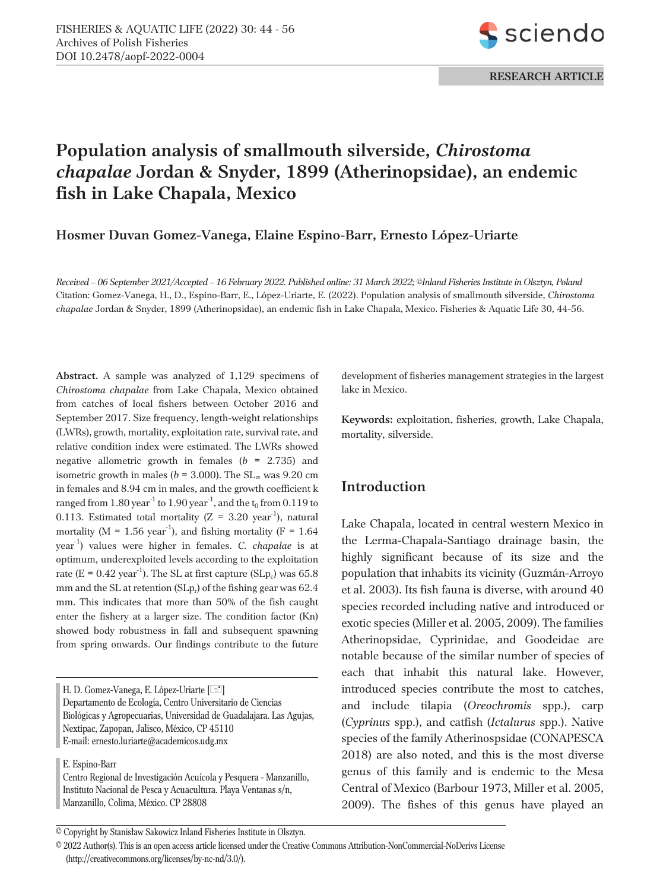

# **Population analysis of smallmouth silverside,** *Chirostoma chapalae* **Jordan & Snyder, 1899 (Atherinopsidae), an endemic fish in Lake Chapala, Mexico**

**Hosmer Duvan Gomez-Vanega, Elaine Espino-Barr, Ernesto López-Uriarte**

*Received – 06 September 2021/Accepted – 16 February 2022. Published online: 31 March 2022; ©Inland Fisheries Institute in Olsztyn, Poland* Citation: Gomez-Vanega, H., D., Espino-Barr, E., López-Uriarte, E. (2022). Population analysis of smallmouth silverside, *Chirostoma chapalae* Jordan & Snyder, 1899 (Atherinopsidae), an endemic fish in Lake Chapala, Mexico. Fisheries & Aquatic Life 30, 44-56.

**Abstract.** A sample was analyzed of 1,129 specimens of *Chirostoma chapalae* from Lake Chapala, Mexico obtained from catches of local fishers between October 2016 and September 2017. Size frequency, length-weight relationships (LWRs), growth, mortality, exploitation rate, survival rate, and relative condition index were estimated. The LWRs showed negative allometric growth in females (*b* = 2.735) and isometric growth in males ( $b = 3.000$ ). The SL<sub>∞</sub> was 9.20 cm in females and 8.94 cm in males, and the growth coefficient k ranged from  $1.80 \text{ year}^{-1}$  to  $1.90 \text{ year}^{-1}$ , and the  $t_0$  from  $0.119$  to 0.113. Estimated total mortality ( $Z = 3.20$  year<sup>-1</sup>), natural mortality ( $M = 1.56$  year<sup>-1</sup>), and fishing mortality ( $F = 1.64$ ) year -1) values were higher in females. *C. chapalae* is at optimum, underexploited levels according to the exploitation rate ( $E = 0.42$  year<sup>-1</sup>). The SL at first capture (SLp<sub>c</sub>) was 65.8 mm and the SL at retention  $(SLp_r)$  of the fishing gear was 62.4 mm. This indicates that more than 50% of the fish caught enter the fishery at a larger size. The condition factor (Kn) showed body robustness in fall and subsequent spawning from spring onwards. Our findings contribute to the future

H. D. Gomez-Vanega, E. López-Uriarte [ $\equiv$ ] Departamento de Ecología, Centro Universitario de Ciencias Biológicas y Agropecuarias, Universidad de Guadalajara. Las Agujas, Nextipac, Zapopan, Jalisco, México, CP 45110 E-mail: ernesto.luriarte@academicos.udg.mx

E. Espino-Barr

Centro Regional de Investigación Acuícola y Pesquera - Manzanillo, Instituto Nacional de Pesca y Acuacultura. Playa Ventanas s/n, Manzanillo, Colima, México. CP 28808

development of fisheries management strategies in the largest lake in Mexico.

**Keywords:** exploitation, fisheries, growth, Lake Chapala, mortality, silverside.

# **Introduction**

Lake Chapala, located in central western Mexico in the Lerma-Chapala-Santiago drainage basin, the highly significant because of its size and the population that inhabits its vicinity (Guzmán-Arroyo et al. 2003). Its fish fauna is diverse, with around 40 species recorded including native and introduced or exotic species (Miller et al. 2005, 2009). The families Atherinopsidae, Cyprinidae, and Goodeidae are notable because of the similar number of species of each that inhabit this natural lake. However, introduced species contribute the most to catches, and include tilapia (*Oreochromis* spp.), carp (*Cyprinus* spp.), and catfish (*Ictalurus* spp.). Native species of the family Atherinospsidae (CONAPESCA 2018) are also noted, and this is the most diverse genus of this family and is endemic to the Mesa Central of Mexico (Barbour 1973, Miller et al. 2005, 2009). The fishes of this genus have played an

© 2022 Author(s). This is an open access article licensed under the Creative Commons Attribution-NonCommercial-NoDerivs License (http://creativecommons.org/licenses/by-nc-nd/3.0/).

<sup>©</sup> Copyright by Stanis³aw Sakowicz Inland Fisheries Institute in Olsztyn.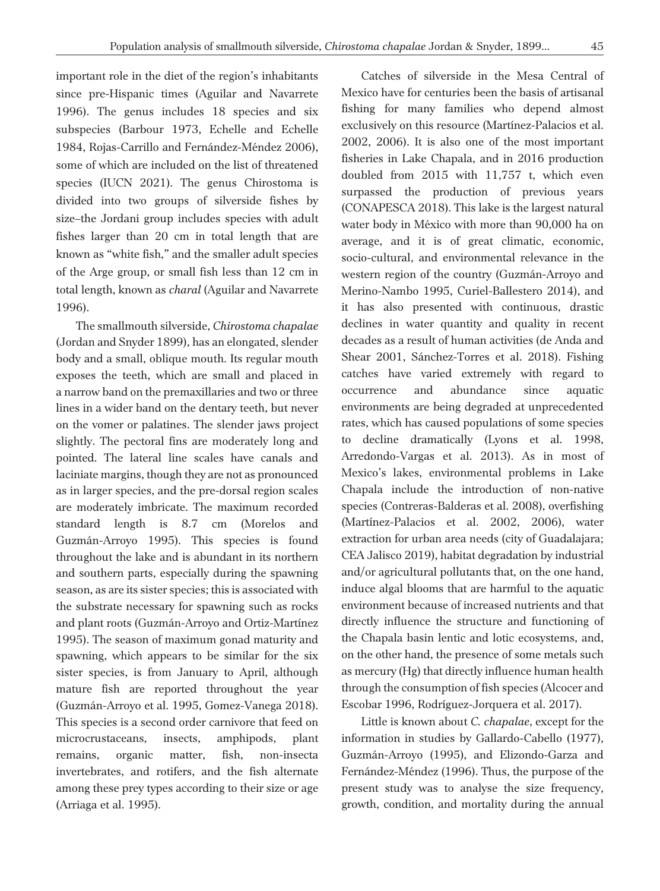important role in the diet of the region's inhabitants since pre-Hispanic times (Aguilar and Navarrete 1996). The genus includes 18 species and six subspecies (Barbour 1973, Echelle and Echelle 1984, Rojas-Carrillo and Fernández-Méndez 2006), some of which are included on the list of threatened species (IUCN 2021). The genus Chirostoma is divided into two groups of silverside fishes by size–the Jordani group includes species with adult fishes larger than 20 cm in total length that are known as "white fish," and the smaller adult species of the Arge group, or small fish less than 12 cm in total length, known as *charal* (Aguilar and Navarrete 1996).

The smallmouth silverside, *Chirostoma chapalae* (Jordan and Snyder 1899), has an elongated, slender body and a small, oblique mouth. Its regular mouth exposes the teeth, which are small and placed in a narrow band on the premaxillaries and two or three lines in a wider band on the dentary teeth, but never on the vomer or palatines. The slender jaws project slightly. The pectoral fins are moderately long and pointed. The lateral line scales have canals and laciniate margins, though they are not as pronounced as in larger species, and the pre-dorsal region scales are moderately imbricate. The maximum recorded standard length is 8.7 cm (Morelos and Guzmán-Arroyo 1995). This species is found throughout the lake and is abundant in its northern and southern parts, especially during the spawning season, as are its sister species; this is associated with the substrate necessary for spawning such as rocks and plant roots (Guzmán-Arroyo and Ortiz-Martínez 1995). The season of maximum gonad maturity and spawning, which appears to be similar for the six sister species, is from January to April, although mature fish are reported throughout the year (Guzmán-Arroyo et al. 1995, Gomez-Vanega 2018). This species is a second order carnivore that feed on microcrustaceans, insects, amphipods, plant remains, organic matter, fish, non-insecta invertebrates, and rotifers, and the fish alternate among these prey types according to their size or age (Arriaga et al. 1995).

Catches of silverside in the Mesa Central of Mexico have for centuries been the basis of artisanal fishing for many families who depend almost exclusively on this resource (Martínez-Palacios et al. 2002, 2006). It is also one of the most important fisheries in Lake Chapala, and in 2016 production doubled from 2015 with 11,757 t, which even surpassed the production of previous years (CONAPESCA 2018). This lake is the largest natural water body in México with more than 90,000 ha on average, and it is of great climatic, economic, socio-cultural, and environmental relevance in the western region of the country (Guzmán-Arroyo and Merino-Nambo 1995, Curiel-Ballestero 2014), and it has also presented with continuous, drastic declines in water quantity and quality in recent decades as a result of human activities (de Anda and Shear 2001, Sánchez-Torres et al. 2018). Fishing catches have varied extremely with regard to occurrence and abundance since aquatic environments are being degraded at unprecedented rates, which has caused populations of some species to decline dramatically (Lyons et al. 1998, Arredondo-Vargas et al. 2013). As in most of Mexico's lakes, environmental problems in Lake Chapala include the introduction of non-native species (Contreras-Balderas et al. 2008), overfishing (Martínez-Palacios et al. 2002, 2006), water extraction for urban area needs (city of Guadalajara; CEA Jalisco 2019), habitat degradation by industrial and/or agricultural pollutants that, on the one hand, induce algal blooms that are harmful to the aquatic environment because of increased nutrients and that directly influence the structure and functioning of the Chapala basin lentic and lotic ecosystems, and, on the other hand, the presence of some metals such as mercury (Hg) that directly influence human health through the consumption of fish species (Alcocer and Escobar 1996, Rodríguez-Jorquera et al. 2017).

Little is known about *C. chapalae*, except for the information in studies by Gallardo-Cabello (1977), Guzmán-Arroyo (1995), and Elizondo-Garza and Fernández-Méndez (1996). Thus, the purpose of the present study was to analyse the size frequency, growth, condition, and mortality during the annual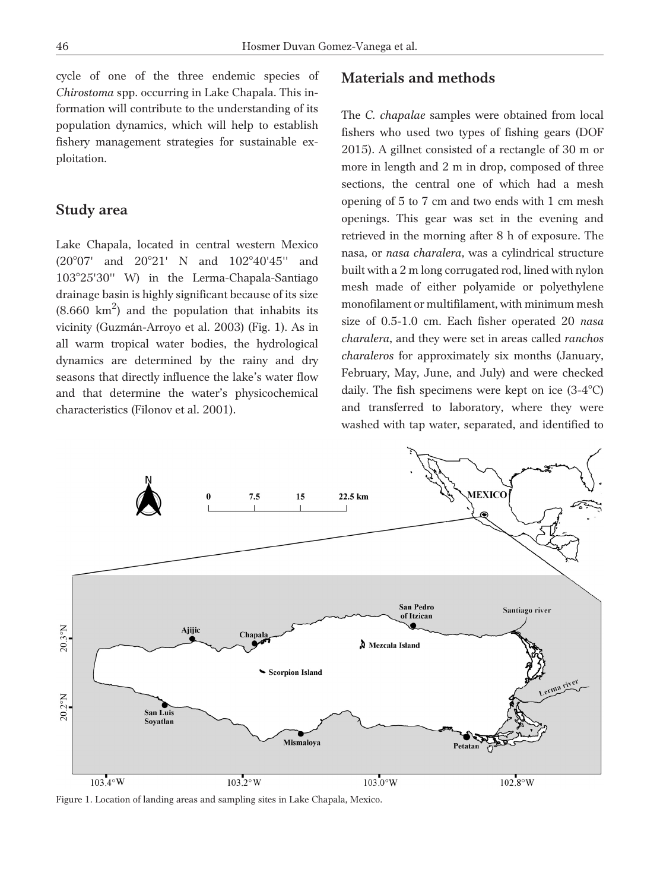cycle of one of the three endemic species of *Chirostoma* spp. occurring in Lake Chapala. This information will contribute to the understanding of its population dynamics, which will help to establish fishery management strategies for sustainable exploitation.

## **Study area**

Lake Chapala, located in central western Mexico (20°07' and 20°21' N and 102°40'45" and 10325'30'' W) in the Lerma-Chapala-Santiago drainage basin is highly significant because of its size  $(8.660 \text{ km}^2)$  and the population that inhabits its vicinity (Guzmán-Arroyo et al. 2003) (Fig. 1). As in all warm tropical water bodies, the hydrological dynamics are determined by the rainy and dry seasons that directly influence the lake's water flow and that determine the water's physicochemical characteristics (Filonov et al. 2001).

## **Materials and methods**

The *C. chapalae* samples were obtained from local fishers who used two types of fishing gears (DOF 2015). A gillnet consisted of a rectangle of 30 m or more in length and 2 m in drop, composed of three sections, the central one of which had a mesh opening of 5 to 7 cm and two ends with 1 cm mesh openings. This gear was set in the evening and retrieved in the morning after 8 h of exposure. The nasa, or *nasa charalera*, was a cylindrical structure built witha2m long corrugated rod, lined with nylon mesh made of either polyamide or polyethylene monofilament or multifilament, with minimum mesh size of 0.5-1.0 cm. Each fisher operated 20 *nasa charalera*, and they were set in areas called *ranchos charaleros* for approximately six months (January, February, May, June, and July) and were checked daily. The fish specimens were kept on ice  $(3-4^{\circ}C)$ and transferred to laboratory, where they were washed with tap water, separated, and identified to



Figure 1. Location of landing areas and sampling sites in Lake Chapala, Mexico.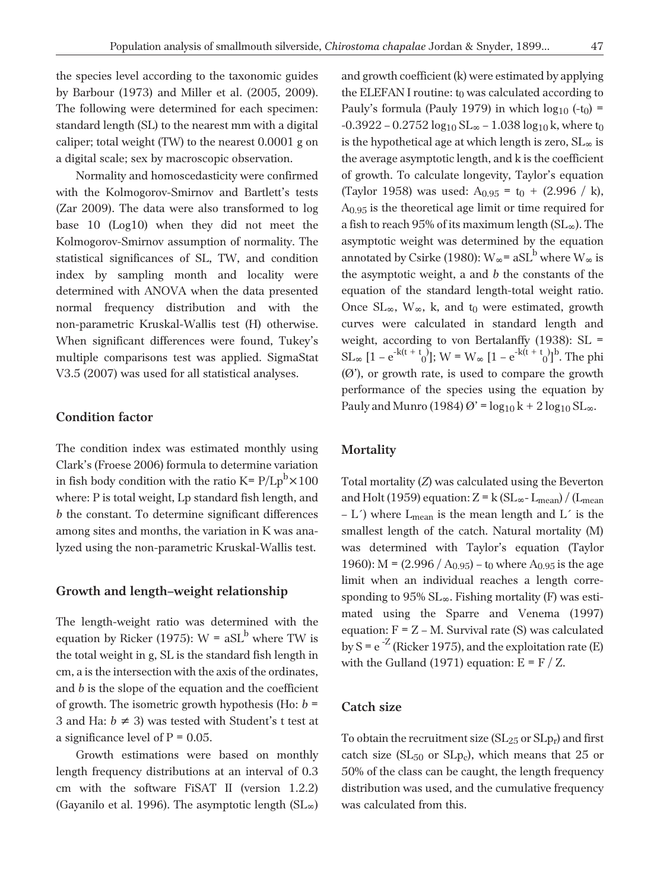the species level according to the taxonomic guides by Barbour (1973) and Miller et al. (2005, 2009). The following were determined for each specimen: standard length (SL) to the nearest mm with a digital caliper; total weight (TW) to the nearest 0.0001 g on a digital scale; sex by macroscopic observation.

Normality and homoscedasticity were confirmed with the Kolmogorov-Smirnov and Bartlett's tests (Zar 2009). The data were also transformed to log base 10 (Log10) when they did not meet the Kolmogorov-Smirnov assumption of normality. The statistical significances of SL, TW, and condition index by sampling month and locality were determined with ANOVA when the data presented normal frequency distribution and with the non-parametric Kruskal-Wallis test (H) otherwise. When significant differences were found, Tukey's multiple comparisons test was applied. SigmaStat V3.5 (2007) was used for all statistical analyses.

## **Condition factor**

The condition index was estimated monthly using Clark's (Froese 2006) formula to determine variation in fish body condition with the ratio K=  $\rm P/Lp^b{\times}100$ where: P is total weight, Lp standard fish length, and *b* the constant. To determine significant differences among sites and months, the variation in K was analyzed using the non-parametric Kruskal-Wallis test.

## **Growth and length–weight relationship**

The length-weight ratio was determined with the equation by Ricker (1975):  $W = aSL<sup>b</sup>$  where TW is the total weight in g, SL is the standard fish length in cm, a is the intersection with the axis of the ordinates, and *b* is the slope of the equation and the coefficient of growth. The isometric growth hypothesis (Ho:  $b =$ 3 and Ha:  $b \neq 3$ ) was tested with Student's t test at a significance level of  $P = 0.05$ .

Growth estimations were based on monthly length frequency distributions at an interval of 0.3 cm with the software FiSAT II (version 1.2.2) (Gayanilo et al. 1996). The asymptotic length  $(SL_{\infty})$  and growth coefficient (k) were estimated by applying the ELEFAN I routine:  $t_0$  was calculated according to Pauly's formula (Pauly 1979) in which  $log_{10}$  (-t<sub>0</sub>) =  $-0.3922 - 0.2752 \log_{10} SL_{\infty} - 1.038 \log_{10} k$ , where to is the hypothetical age at which length is zero,  $SL_{\infty}$  is the average asymptotic length, and k is the coefficient of growth. To calculate longevity, Taylor's equation (Taylor 1958) was used:  $A_{0.95} = t_0 + (2.996 / k)$ , A0.95 is the theoretical age limit or time required for a fish to reach 95% of its maximum length  $(SL_{\infty})$ . The asymptotic weight was determined by the equation annotated by Csirke (1980):  $W_{\infty}$  = aSL<sup>b</sup> where  $W_{\infty}$  is the asymptotic weight, a and *b* the constants of the equation of the standard length-total weight ratio. Once  $SL_{\infty}$ ,  $W_{\infty}$ , k, and t<sub>0</sub> were estimated, growth curves were calculated in standard length and weight, according to von Bertalanffy (1938): SL =  $SL_{\infty} [1 - e^{-k(t + t_{0})}]$ ; W = W<sub>∞</sub> [1 –  $e^{-k(t + t_{0})}]^b$ . The phi  $(0)$ , or growth rate, is used to compare the growth performance of the species using the equation by Pauly and Munro (1984)  $\varnothing$ ' =  $\log_{10} k + 2 \log_{10} SL_{\infty}$ .

#### **Mortality**

Total mortality (*Z*) was calculated using the Beverton and Holt (1959) equation:  $Z = k (SL_{\infty} - L_{mean}) / (L_{mean})$ – L<sup> $\prime$ </sup>) where L<sub>mean</sub> is the mean length and L $\prime$  is the smallest length of the catch. Natural mortality (M) was determined with Taylor's equation (Taylor 1960): M =  $(2.996 / A_{0.95})$  – t<sub>0</sub> where  $A_{0.95}$  is the age limit when an individual reaches a length corresponding to  $95\%$  SL $_{\infty}$ . Fishing mortality (F) was estimated using the Sparre and Venema (1997) equation:  $F = Z - M$ . Survival rate (S) was calculated by  $S = e^{-Z}$  (Ricker 1975), and the exploitation rate (E) with the Gulland (1971) equation:  $E = F / Z$ .

## **Catch size**

To obtain the recruitment size  $(SL_{25}$  or  $SLp_r$ ) and first catch size ( $SL_{50}$  or  $SL_{p_c}$ ), which means that 25 or 50% of the class can be caught, the length frequency distribution was used, and the cumulative frequency was calculated from this.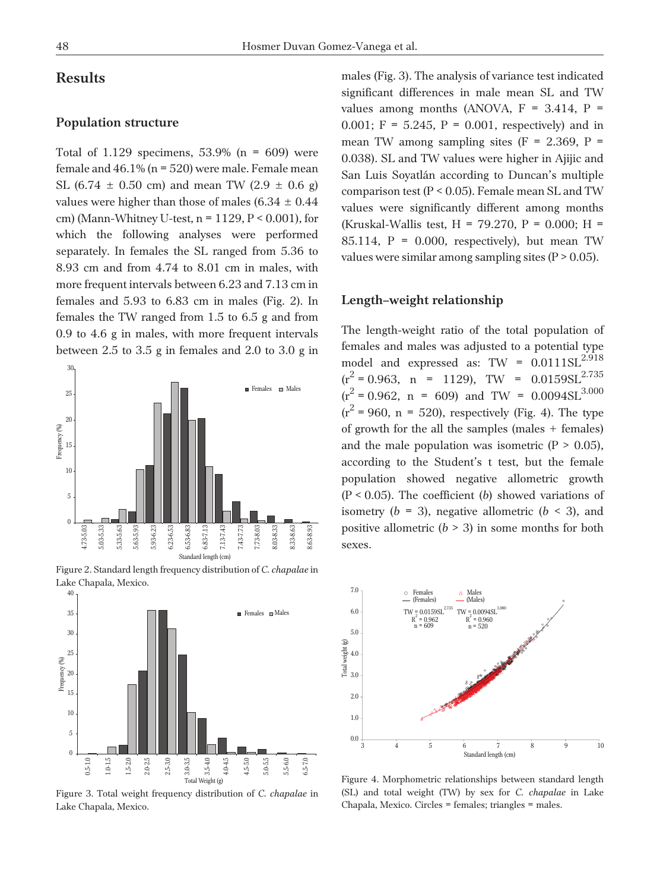# **Results**

#### **Population structure**

Total of  $1.129$  specimens,  $53.9\%$  (n = 609) were female and  $46.1\%$  (n = 520) were male. Female mean SL (6.74  $\pm$  0.50 cm) and mean TW (2.9  $\pm$  0.6 g) values were higher than those of males (6.34  $\pm$  0.44 cm) (Mann-Whitney U-test,  $n = 1129$ ,  $P < 0.001$ ), for which the following analyses were performed separately. In females the SL ranged from 5.36 to 8.93 cm and from 4.74 to 8.01 cm in males, with more frequent intervals between 6.23 and 7.13 cm in females and 5.93 to 6.83 cm in males (Fig. 2). In females the TW ranged from 1.5 to 6.5 g and from 0.9 to 4.6 g in males, with more frequent intervals between 2.5 to 3.5 g in females and 2.0 to 3.0 g in



Figure 2. Standard length frequency distribution of *C. chapalae* in Lake Chapala, Mexico.



Figure 3. Total weight frequency distribution of *C. chapalae* in Lake Chapala, Mexico.

males (Fig. 3). The analysis of variance test indicated significant differences in male mean SL and TW values among months (ANOVA,  $F = 3.414$ ,  $P =$ 0.001;  $F = 5.245$ ,  $P = 0.001$ , respectively) and in mean TW among sampling sites  $(F = 2.369, P =$ 0.038). SL and TW values were higher in Ajijic and San Luis Soyatlán according to Duncan's multiple comparison test (P < 0.05). Female mean SL and TW values were significantly different among months (Kruskal-Wallis test, H = 79.270, P = 0.000; H = 85.114,  $P = 0.000$ , respectively), but mean TW values were similar among sampling sites  $(P > 0.05)$ .

#### **Length–weight relationship**

The length-weight ratio of the total population of females and males was adjusted to a potential type model and expressed as: TW =  $0.0111SL<sup>2.918</sup>$  $(r^2 = 0.963, n = 1129)$ , TW =  $0.0159SL^{2.735}$  $(r^2 = 0.962, n = 609)$  and TW =  $0.0094SL^{3.000}$  $(r^2 = 960, n = 520)$ , respectively (Fig. 4). The type of growth for the all the samples (males + females) and the male population was isometric  $(P > 0.05)$ , according to the Student's t test, but the female population showed negative allometric growth (P < 0.05). The coefficient (*b*) showed variations of isometry ( $b = 3$ ), negative allometric ( $b < 3$ ), and positive allometric  $(b > 3)$  in some months for both sexes.



Figure 4. Morphometric relationships between standard length (SL) and total weight (TW) by sex for *C. chapalae* in Lake Chapala, Mexico. Circles = females; triangles = males.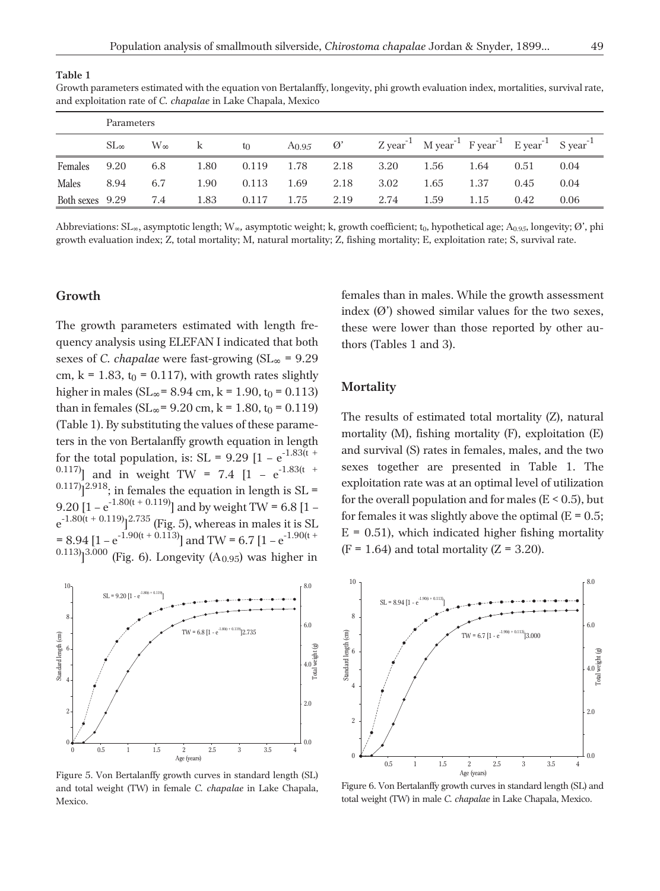| and exploitation rate of C. chapalae in Lake Chapala, Mexico |               |              |      |       |            |               |      |                                                                                                            |      |      |      |  |
|--------------------------------------------------------------|---------------|--------------|------|-------|------------|---------------|------|------------------------------------------------------------------------------------------------------------|------|------|------|--|
|                                                              | Parameters    |              |      |       |            |               |      |                                                                                                            |      |      |      |  |
|                                                              | $SL_{\infty}$ | $W_{\infty}$ | k.   | $t_0$ | $A_{0.95}$ | $\varnothing$ |      | $Z$ year <sup>-1</sup> M year <sup>-1</sup> F year <sup>-1</sup> E year <sup>-1</sup> S year <sup>-1</sup> |      |      |      |  |
| Females                                                      | 9.20          | 6.8          | 1.80 | 0.119 | 1.78       | 2.18          | 3.20 | 1.56                                                                                                       | 1.64 | 0.51 | 0.04 |  |
| <b>Males</b>                                                 | 8.94          | 6.7          | 1.90 | 0.113 | 1.69       | 2.18          | 3.02 | 1.65                                                                                                       | 1.37 | 0.45 | 0.04 |  |
| Both sexes 9.29                                              |               | 7.4          | 1.83 | 0.117 | 1.75       | 2.19          | 2.74 | 1.59                                                                                                       | 1.15 | 0.42 | 0.06 |  |

Growth parameters estimated with the equation von Bertalanffy, longevity, phi growth evaluation index, mortalities, survival rate,

Abbreviations:  $SL_{\infty}$ , asymptotic length; W<sub> $\infty$ </sub>, asymptotic weight; k, growth coefficient; t<sub>0</sub>, hypothetical age; A<sub>0.95</sub>, longevity;  $\emptyset'$ , phi growth evaluation index; Z, total mortality; M, natural mortality; Z, fishing mortality; E, exploitation rate; S, survival rate.

## **Growth**

**Table 1**

The growth parameters estimated with length frequency analysis using ELEFAN I indicated that both sexes of *C. chapalae* were fast-growing  $(SL_{\infty} = 9.29)$ cm,  $k = 1.83$ ,  $t_0 = 0.117$ , with growth rates slightly higher in males ( $SL_{\infty}$  = 8.94 cm, k = 1.90, t<sub>0</sub> = 0.113) than in females ( $SL_{\infty}$  = 9.20 cm, k = 1.80, t<sub>0</sub> = 0.119) (Table 1). By substituting the values of these parameters in the von Bertalanffy growth equation in length for the total population, is:  $SL = 9.29$   $[1 - e^{-1.83(t + 1.15t)}]$ 0.117) and in weight TW = 7.4  $[1 - e^{-1.83(t + 1)}]$  $^{0.117}$ ]<sup>2.918</sup>; in females the equation in length is SL = 9.20  $[1 - e^{-1.80(t + 0.119)}]$  and by weight TW = 6.8  $[1$  $e^{-1.80(t + 0.119)}$ ]<sup>2.735</sup> (Fig. 5), whereas in males it is SL = 8.94  $[1 - e^{-1.90(t + 0.113)}]$  and TW = 6.7  $[1 - e^{-1.90(t + 1.91)}]$  $^{0.113}$ ]<sup>3.000</sup> (Fig. 6). Longevity (A<sub>0.95</sub>) was higher in



Figure 5. Von Bertalanffy growth curves in standard length (SL) and total weight (TW) in female *C. chapalae* in Lake Chapala, Mexico.

females than in males. While the growth assessment index  $(0')$  showed similar values for the two sexes, these were lower than those reported by other authors (Tables 1 and 3).

## **Mortality**

The results of estimated total mortality (Z), natural mortality (M), fishing mortality (F), exploitation (E) and survival (S) rates in females, males, and the two sexes together are presented in Table 1. The exploitation rate was at an optimal level of utilization for the overall population and for males ( $E < 0.5$ ), but for females it was slightly above the optimal ( $E = 0.5$ ;  $E = 0.51$ ), which indicated higher fishing mortality  $(F = 1.64)$  and total mortality  $(Z = 3.20)$ .



Figure 6. Von Bertalanffy growth curves in standard length (SL) and total weight (TW) in male *C. chapalae* in Lake Chapala, Mexico.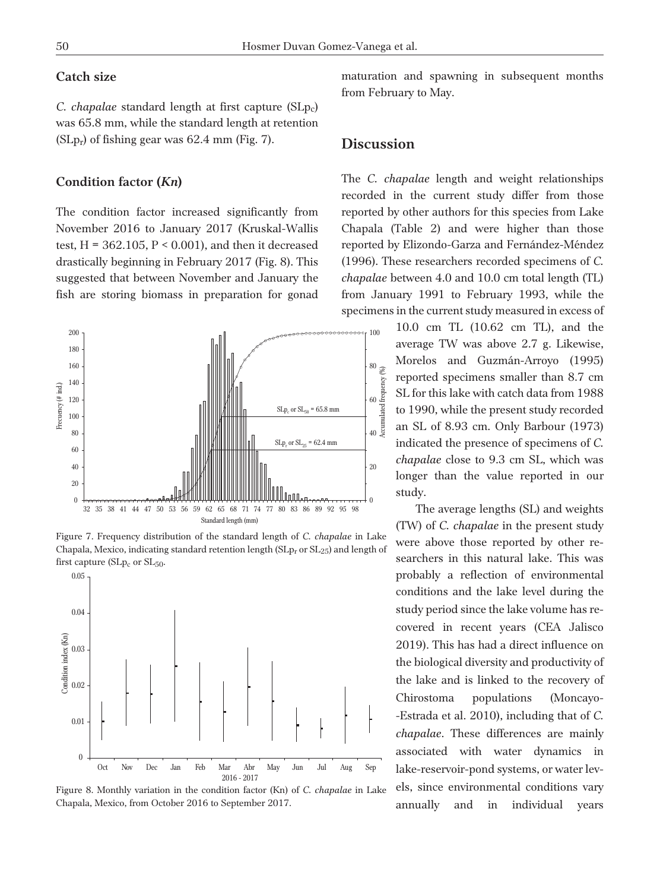## **Catch size**

*C. chapalae* standard length at first capture (SLp<sub>c</sub>) was 65.8 mm, while the standard length at retention  $(SLp_r)$  of fishing gear was 62.4 mm (Fig. 7).

#### **Condition factor (***Kn***)**

The condition factor increased significantly from November 2016 to January 2017 (Kruskal-Wallis test,  $H = 362.105$ ,  $P < 0.001$ ), and then it decreased drastically beginning in February 2017 (Fig. 8). This suggested that between November and January the fish are storing biomass in preparation for gonad



Figure 7. Frequency distribution of the standard length of *C. chapalae* in Lake Chapala, Mexico, indicating standard retention length ( $SLp<sub>r</sub>$  or  $SL<sub>25</sub>$ ) and length of first capture  $(SLp<sub>c</sub>$  or  $SL<sub>50</sub>$ .





maturation and spawning in subsequent months from February to May.

## **Discussion**

The *C. chapalae* length and weight relationships recorded in the current study differ from those reported by other authors for this species from Lake Chapala (Table 2) and were higher than those reported by Elizondo-Garza and Fernández-Méndez (1996). These researchers recorded specimens of *C. chapalae* between 4.0 and 10.0 cm total length (TL) from January 1991 to February 1993, while the specimens in the current study measured in excess of

> 10.0 cm TL (10.62 cm TL), and the average TW was above 2.7 g. Likewise, Morelos and Guzmán-Arroyo (1995) reported specimens smaller than 8.7 cm SL for this lake with catch data from 1988 to 1990, while the present study recorded an SL of 8.93 cm. Only Barbour (1973) indicated the presence of specimens of *C. chapalae* close to 9.3 cm SL, which was longer than the value reported in our study.

The average lengths (SL) and weights (TW) of *C. chapalae* in the present study were above those reported by other researchers in this natural lake. This was probably a reflection of environmental conditions and the lake level during the study period since the lake volume has recovered in recent years (CEA Jalisco 2019). This has had a direct influence on the biological diversity and productivity of the lake and is linked to the recovery of Chirostoma populations (Moncayo- -Estrada et al. 2010), including that of *C. chapalae*. These differences are mainly associated with water dynamics in lake-reservoir-pond systems, or water levels, since environmental conditions vary annually and in individual years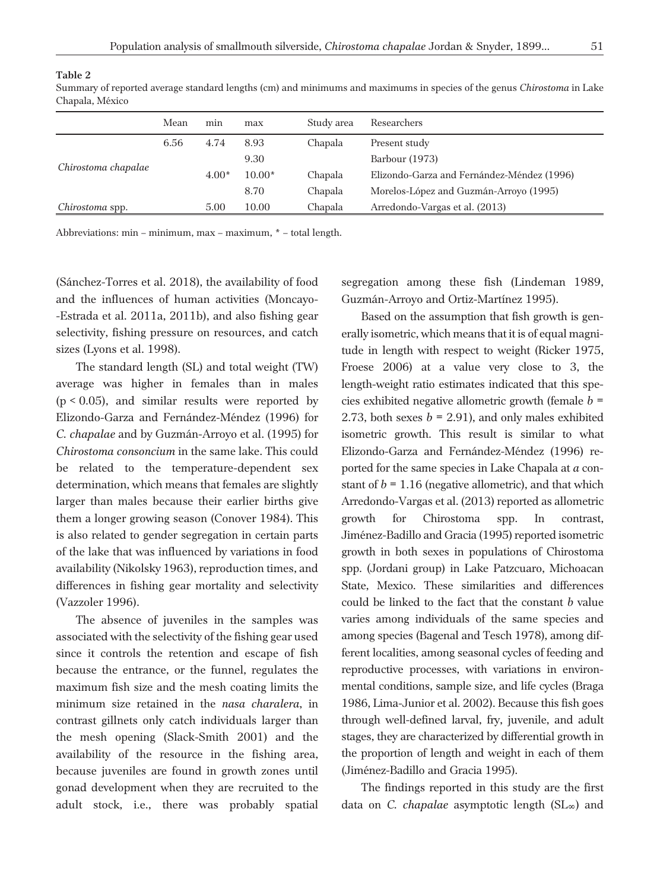| -      |  |
|--------|--|
| ۰.     |  |
|        |  |
| I<br>v |  |

| спарац, телес       |      |         |          |            |                                            |  |  |
|---------------------|------|---------|----------|------------|--------------------------------------------|--|--|
|                     | Mean | min     | max      | Study area | Researchers                                |  |  |
|                     | 6.56 | 4.74    | 8.93     | Chapala    | Present study                              |  |  |
|                     |      |         | 9.30     |            | Barbour (1973)                             |  |  |
| Chirostoma chapalae |      | $4.00*$ | $10.00*$ | Chapala    | Elizondo-Garza and Fernández-Méndez (1996) |  |  |
|                     |      |         | 8.70     | Chapala    | Morelos-López and Guzmán-Arroyo (1995)     |  |  |
| Chirostoma spp.     |      | 5.00    | 10.00    | Chapala    | Arredondo-Vargas et al. (2013)             |  |  |

Summary of reported average standard lengths (cm) and minimums and maximums in species of the genus *Chirostoma* in Lake Chapala, México

Abbreviations: min – minimum, max – maximum, \* – total length.

**Table 2**

(Sánchez-Torres et al. 2018), the availability of food and the influences of human activities (Moncayo- -Estrada et al. 2011a, 2011b), and also fishing gear selectivity, fishing pressure on resources, and catch sizes (Lyons et al. 1998).

The standard length (SL) and total weight (TW) average was higher in females than in males  $(p < 0.05)$ , and similar results were reported by Elizondo-Garza and Fernández-Méndez (1996) for *C. chapalae* and by Guzmán-Arroyo et al. (1995) for *Chirostoma consoncium* in the same lake. This could be related to the temperature-dependent sex determination, which means that females are slightly larger than males because their earlier births give them a longer growing season (Conover 1984). This is also related to gender segregation in certain parts of the lake that was influenced by variations in food availability (Nikolsky 1963), reproduction times, and differences in fishing gear mortality and selectivity (Vazzoler 1996).

The absence of juveniles in the samples was associated with the selectivity of the fishing gear used since it controls the retention and escape of fish because the entrance, or the funnel, regulates the maximum fish size and the mesh coating limits the minimum size retained in the *nasa charalera*, in contrast gillnets only catch individuals larger than the mesh opening (Slack-Smith 2001) and the availability of the resource in the fishing area, because juveniles are found in growth zones until gonad development when they are recruited to the adult stock, i.e., there was probably spatial segregation among these fish (Lindeman 1989, Guzmán-Arroyo and Ortiz-Martínez 1995).

Based on the assumption that fish growth is generally isometric, which means that it is of equal magnitude in length with respect to weight (Ricker 1975, Froese 2006) at a value very close to 3, the length-weight ratio estimates indicated that this species exhibited negative allometric growth (female *b* = 2.73, both sexes  $b = 2.91$ ), and only males exhibited isometric growth. This result is similar to what Elizondo-Garza and Fernández-Méndez (1996) reported for the same species in Lake Chapala at *a* constant of  $b = 1.16$  (negative allometric), and that which Arredondo-Vargas et al. (2013) reported as allometric growth for Chirostoma spp. In contrast, Jiménez-Badillo and Gracia (1995) reported isometric growth in both sexes in populations of Chirostoma spp. (Jordani group) in Lake Patzcuaro, Michoacan State, Mexico. These similarities and differences could be linked to the fact that the constant *b* value varies among individuals of the same species and among species (Bagenal and Tesch 1978), among different localities, among seasonal cycles of feeding and reproductive processes, with variations in environmental conditions, sample size, and life cycles (Braga 1986, Lima-Junior et al. 2002). Because this fish goes through well-defined larval, fry, juvenile, and adult stages, they are characterized by differential growth in the proportion of length and weight in each of them (Jiménez-Badillo and Gracia 1995).

The findings reported in this study are the first data on *C. chapalae* asymptotic length (SL ) and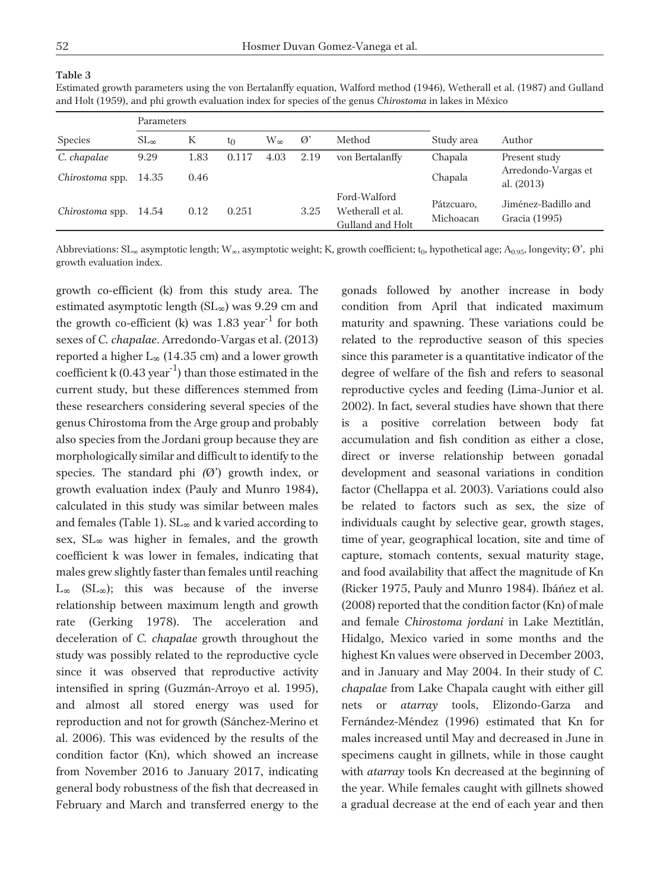#### **Table 3**

| Estimated growth parameters using the von Bertalanffy equation, Walford method (1946), Wetherall et al. (1987) and Gulland |  |
|----------------------------------------------------------------------------------------------------------------------------|--|
| and Holt (1959), and phi growth evaluation index for species of the genus <i>Chirostoma</i> in lakes in México             |  |

|                        | Parameters         |      |          |      |               |                                                      |                                   |                                      |  |
|------------------------|--------------------|------|----------|------|---------------|------------------------------------------------------|-----------------------------------|--------------------------------------|--|
| <b>Species</b>         | $SL_{\infty}$<br>К |      | W∞<br>tο |      | $\varnothing$ | Method                                               | Study area                        | Author                               |  |
| C. chapalae            | 9.29               | 1.83 | 0.117    | 4.03 | 2.19          | von Bertalanffy                                      | Chapala                           | Present study                        |  |
| <i>Chirostoma</i> spp. | 14.35<br>0.46      |      |          |      |               | Chapala                                              | Arredondo-Vargas et<br>al. (2013) |                                      |  |
| <i>Chirostoma</i> spp. | 14.54              | 0.12 | 0.251    |      | 3.25          | Ford-Walford<br>Wetherall et al.<br>Gulland and Holt | Pátzcuaro,<br>Michoacan           | Jiménez-Badillo and<br>Gracia (1995) |  |

Abbreviations: SL<sub>∞</sub> asymptotic length; W<sub>∞</sub>, asymptotic weight; K, growth coefficient; t<sub>0</sub>, hypothetical age; A<sub>0.95</sub>, longevity; Ø', phi growth evaluation index.

growth co-efficient (k) from this study area. The estimated asymptotic length  $(SL_{\infty})$  was 9.29 cm and the growth co-efficient (k) was  $1.83 \text{ year}^{-1}$  for both sexes of *C. chapalae*. Arredondo-Vargas et al. (2013) reported a higher  $L_{\infty}$  (14.35 cm) and a lower growth coefficient k  $(0.43 \text{ year}^{-1})$  than those estimated in the current study, but these differences stemmed from these researchers considering several species of the genus Chirostoma from the Arge group and probably also species from the Jordani group because they are morphologically similar and difficult to identify to the species. The standard phi (Ø') growth index, or growth evaluation index (Pauly and Munro 1984), calculated in this study was similar between males and females (Table 1). SL and k varied according to sex, SL was higher in females, and the growth coefficient k was lower in females, indicating that males grew slightly faster than females until reaching  $L_{\infty}$  (SL $_{\infty}$ ); this was because of the inverse relationship between maximum length and growth rate (Gerking 1978). The acceleration and deceleration of *C. chapalae* growth throughout the study was possibly related to the reproductive cycle since it was observed that reproductive activity intensified in spring (Guzmán-Arroyo et al. 1995), and almost all stored energy was used for reproduction and not for growth (Sánchez-Merino et al. 2006). This was evidenced by the results of the condition factor (Kn), which showed an increase from November 2016 to January 2017, indicating general body robustness of the fish that decreased in February and March and transferred energy to the

gonads followed by another increase in body condition from April that indicated maximum maturity and spawning. These variations could be related to the reproductive season of this species since this parameter is a quantitative indicator of the degree of welfare of the fish and refers to seasonal reproductive cycles and feeding (Lima-Junior et al. 2002). In fact, several studies have shown that there is a positive correlation between body fat accumulation and fish condition as either a close, direct or inverse relationship between gonadal development and seasonal variations in condition factor (Chellappa et al. 2003). Variations could also be related to factors such as sex, the size of individuals caught by selective gear, growth stages, time of year, geographical location, site and time of capture, stomach contents, sexual maturity stage, and food availability that affect the magnitude of Kn (Ricker 1975, Pauly and Munro 1984). Ibáñez et al. (2008) reported that the condition factor (Kn) of male and female *Chirostoma jordani* in Lake Meztitlán, Hidalgo, Mexico varied in some months and the highest Kn values were observed in December 2003, and in January and May 2004. In their study of *C. chapalae* from Lake Chapala caught with either gill nets or *atarray* tools, Elizondo-Garza and Fernández-Méndez (1996) estimated that Kn for males increased until May and decreased in June in specimens caught in gillnets, while in those caught with *atarray* tools Kn decreased at the beginning of the year. While females caught with gillnets showed a gradual decrease at the end of each year and then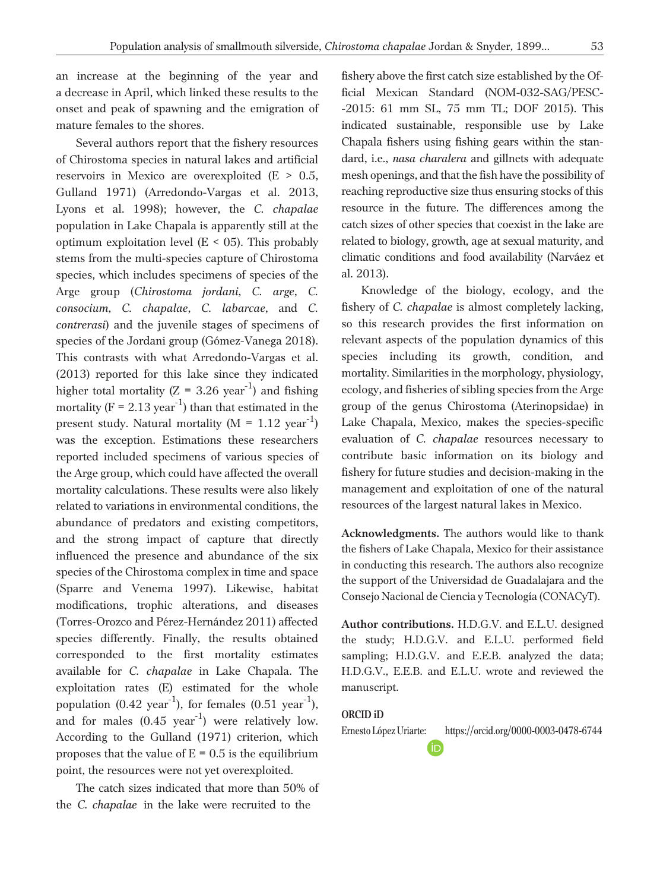an increase at the beginning of the year and a decrease in April, which linked these results to the onset and peak of spawning and the emigration of mature females to the shores.

Several authors report that the fishery resources of Chirostoma species in natural lakes and artificial reservoirs in Mexico are overexploited (E > 0.5, Gulland 1971) (Arredondo-Vargas et al. 2013, Lyons et al. 1998); however, the *C. chapalae* population in Lake Chapala is apparently still at the optimum exploitation level  $(E < 0.5)$ . This probably stems from the multi-species capture of Chirostoma species, which includes specimens of species of the Arge group (*Chirostoma jordani*, *C. arge*, *C. consocium*, *C. chapalae*, *C. labarcae*, and *C. contrerasi*) and the juvenile stages of specimens of species of the Jordani group (Gómez-Vanega 2018). This contrasts with what Arredondo-Vargas et al. (2013) reported for this lake since they indicated higher total mortality ( $Z = 3.26$  year<sup>-1</sup>) and fishing mortality ( $F = 2.13$  year<sup>-1</sup>) than that estimated in the present study. Natural mortality ( $M = 1.12 \text{ year}^{-1}$ ) was the exception. Estimations these researchers reported included specimens of various species of the Arge group, which could have affected the overall mortality calculations. These results were also likely related to variations in environmental conditions, the abundance of predators and existing competitors, and the strong impact of capture that directly influenced the presence and abundance of the six species of the Chirostoma complex in time and space (Sparre and Venema 1997). Likewise, habitat modifications, trophic alterations, and diseases (Torres-Orozco and Pérez-Hernández 2011) affected species differently. Finally, the results obtained corresponded to the first mortality estimates available for *C. chapalae* in Lake Chapala. The exploitation rates (E) estimated for the whole population  $(0.42 \text{ year}^{-1})$ , for females  $(0.51 \text{ year}^{-1})$ , and for males  $(0.45 \text{ year}^{-1})$  were relatively low. According to the Gulland (1971) criterion, which proposes that the value of  $E = 0.5$  is the equilibrium point, the resources were not yet overexploited.

The catch sizes indicated that more than 50% of the *C. chapalae* in the lake were recruited to the

fishery above the first catch size established by the Official Mexican Standard (NOM-032-SAG/PESC- -2015: 61 mm SL, 75 mm TL; DOF 2015). This indicated sustainable, responsible use by Lake Chapala fishers using fishing gears within the standard, i.e., *nasa charalera* and gillnets with adequate mesh openings, and that the fish have the possibility of reaching reproductive size thus ensuring stocks of this resource in the future. The differences among the catch sizes of other species that coexist in the lake are related to biology, growth, age at sexual maturity, and climatic conditions and food availability (Narváez et al. 2013).

Knowledge of the biology, ecology, and the fishery of *C. chapalae* is almost completely lacking, so this research provides the first information on relevant aspects of the population dynamics of this species including its growth, condition, and mortality. Similarities in the morphology, physiology, ecology, and fisheries of sibling species from the Arge group of the genus Chirostoma (Aterinopsidae) in Lake Chapala, Mexico, makes the species-specific evaluation of *C. chapalae* resources necessary to contribute basic information on its biology and fishery for future studies and decision-making in the management and exploitation of one of the natural resources of the largest natural lakes in Mexico.

**Acknowledgments.** The authors would like to thank the fishers of Lake Chapala, Mexico for their assistance in conducting this research. The authors also recognize the support of the Universidad de Guadalajara and the Consejo Nacional de Ciencia y Tecnología (CONACyT).

**Author contributions.** H.D.G.V. and E.L.U. designed the study; H.D.G.V. and E.L.U. performed field sampling; H.D.G.V. and E.E.B. analyzed the data; H.D.G.V., E.E.B. and E.L.U. wrote and reviewed the manuscript.

#### **ORCID iD**

Ernesto López Uriarte: https://orcid.org/0000-0003-0478-6744

(iD)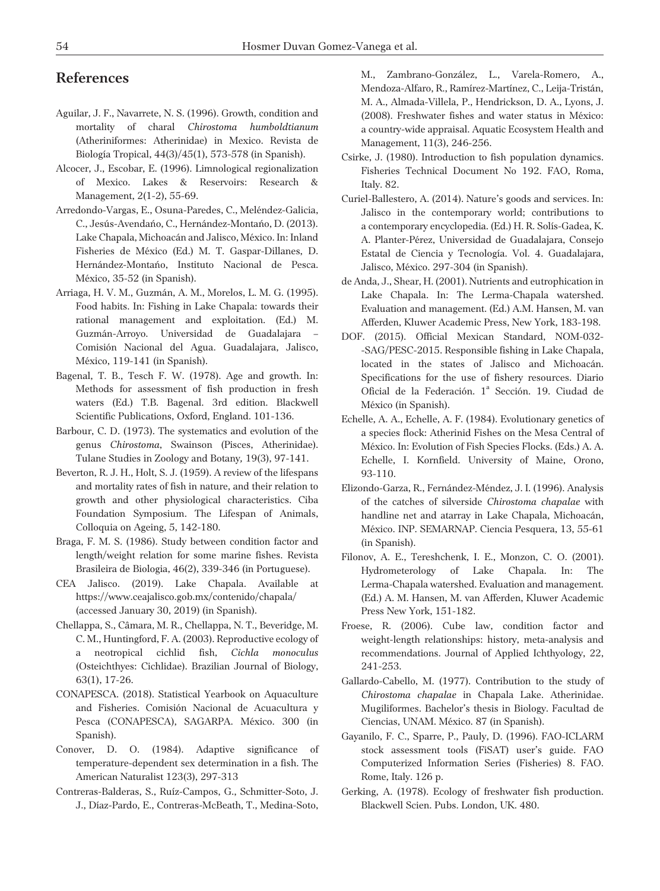# **References**

- Aguilar, J. F., Navarrete, N. S. (1996). Growth, condition and mortality of charal *Chirostoma humboldtianum* (Atheriniformes: Atherinidae) in Mexico. Revista de Biología Tropical, 44(3)/45(1), 573-578 (in Spanish).
- Alcocer, J., Escobar, E. (1996). Limnological regionalization of Mexico. Lakes & Reservoirs: Research & Management, 2(1-2), 55-69.
- Arredondo-Vargas, E., Osuna-Paredes, C., Meléndez-Galicia, C., Jesús-Avendaño, C., Hernández-Montaño, D. (2013). Lake Chapala, Michoacán and Jalisco, México. In: Inland Fisheries de México (Ed.) M. T. Gaspar-Dillanes, D. Hernández-Montaño, Instituto Nacional de Pesca. México, 35-52 (in Spanish).
- Arriaga, H. V. M., Guzmán, A. M., Morelos, L. M. G. (1995). Food habits. In: Fishing in Lake Chapala: towards their rational management and exploitation. (Ed.) M. Guzmán-Arroyo. Universidad de Guadalajara – Comisión Nacional del Agua. Guadalajara, Jalisco, México, 119-141 (in Spanish).
- Bagenal, T. B., Tesch F. W. (1978). Age and growth. In: Methods for assessment of fish production in fresh waters (Ed.) T.B. Bagenal. 3rd edition. Blackwell Scientific Publications, Oxford, England. 101-136.
- Barbour, C. D. (1973). The systematics and evolution of the genus *Chirostoma*, Swainson (Pisces, Atherinidae). Tulane Studies in Zoology and Botany*,* 19(3), 97-141.
- Beverton, R. J. H., Holt, S. J. (1959). A review of the lifespans and mortality rates of fish in nature, and their relation to growth and other physiological characteristics. Ciba Foundation Symposium. The Lifespan of Animals, Colloquia on Ageing, 5, 142-180.
- Braga, F. M. S. (1986). Study between condition factor and length/weight relation for some marine fishes. Revista Brasileira de Biologia, 46(2), 339-346 (in Portuguese).
- CEA Jalisco. (2019). Lake Chapala. Available at https://www.ceajalisco.gob.mx/contenido/chapala/ (accessed January 30, 2019) (in Spanish).
- Chellappa, S., Câmara, M. R., Chellappa, N. T., Beveridge, M. C. M., Huntingford, F. A. (2003). Reproductive ecology of a neotropical cichlid fish, *Cichla monoculus* (Osteichthyes: Cichlidae). Brazilian Journal of Biology, 63(1), 17-26.
- CONAPESCA. (2018). Statistical Yearbook on Aquaculture and Fisheries. Comisión Nacional de Acuacultura y Pesca (CONAPESCA), SAGARPA. México. 300 (in Spanish).
- Conover, D. O. (1984). Adaptive significance of temperature-dependent sex determination in a fish. The American Naturalist 123(3), 297-313
- Contreras-Balderas, S., Ruíz-Campos, G., Schmitter-Soto, J. J., Díaz-Pardo, E., Contreras-McBeath, T., Medina-Soto,

M., Zambrano-González, L., Varela-Romero, A., Mendoza-Alfaro, R., Ramírez-Martínez, C., Leija-Tristán, M. A., Almada-Villela, P., Hendrickson, D. A., Lyons, J. (2008). Freshwater fishes and water status in México: a country-wide appraisal. Aquatic Ecosystem Health and Management, 11(3), 246-256.

- Csirke, J. (1980). Introduction to fish population dynamics. Fisheries Technical Document No 192. FAO, Roma, Italy. 82.
- Curiel-Ballestero, A. (2014). Nature's goods and services. In: Jalisco in the contemporary world; contributions to a contemporary encyclopedia. (Ed.) H. R. Solís-Gadea, K. A. Planter-Pérez, Universidad de Guadalajara, Consejo Estatal de Ciencia y Tecnología. Vol. 4. Guadalajara, Jalisco, México. 297-304 (in Spanish).
- de Anda, J., Shear, H. (2001). Nutrients and eutrophication in Lake Chapala. In: The Lerma-Chapala watershed. Evaluation and management. (Ed.) A.M. Hansen, M. van Afferden, Kluwer Academic Press, New York, 183-198.
- DOF. (2015). Official Mexican Standard, NOM-032- -SAG/PESC-2015. Responsible fishing in Lake Chapala, located in the states of Jalisco and Michoacán. Specifications for the use of fishery resources. Diario Oficial de la Federación. 1ª Sección. 19. Ciudad de México (in Spanish).
- Echelle, A. A., Echelle, A. F. (1984). Evolutionary genetics of a species flock: Atherinid Fishes on the Mesa Central of México. In: Evolution of Fish Species Flocks. (Eds.) A. A. Echelle, I. Kornfield. University of Maine, Orono, 93-110.
- Elizondo-Garza, R., Fernández-Méndez, J. I. (1996). Analysis of the catches of silverside *Chirostoma chapalae* with handline net and atarray in Lake Chapala, Michoacán, México. INP. SEMARNAP. Ciencia Pesquera, 13, 55-61 (in Spanish).
- Filonov, A. E., Tereshchenk, I. E., Monzon, C. O. (2001). Hydrometerology of Lake Chapala. In: The Lerma-Chapala watershed. Evaluation and management. (Ed.) A. M. Hansen, M. van Afferden, Kluwer Academic Press New York, 151-182.
- Froese, R. (2006). Cube law, condition factor and weight-length relationships: history, meta-analysis and recommendations. Journal of Applied Ichthyology, 22, 241-253.
- Gallardo-Cabello, M. (1977). Contribution to the study of *Chirostoma chapalae* in Chapala Lake. Atherinidae. Mugiliformes. Bachelor's thesis in Biology. Facultad de Ciencias, UNAM. México. 87 (in Spanish).
- Gayanilo, F. C., Sparre, P., Pauly, D. (1996). FAO-ICLARM stock assessment tools (FiSAT) user's guide. FAO Computerized Information Series (Fisheries) 8. FAO. Rome, Italy. 126 p.
- Gerking, A. (1978). Ecology of freshwater fish production. Blackwell Scien. Pubs. London, UK. 480.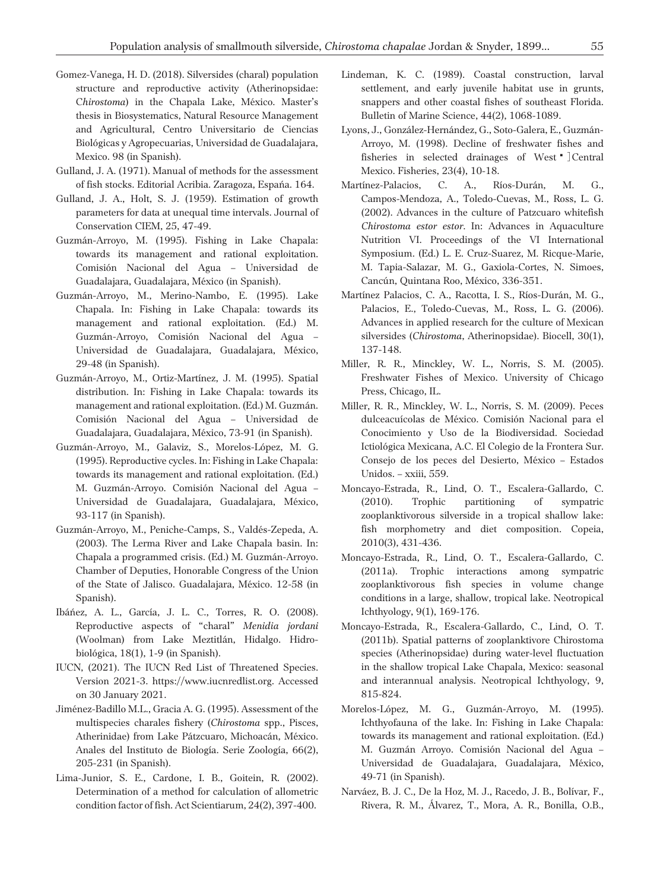- Gomez-Vanega, H. D. (2018). Silversides (charal) population structure and reproductive activity (Atherinopsidae: C*hirostoma*) in the Chapala Lake, México. Master's thesis in Biosystematics, Natural Resource Management and Agricultural, Centro Universitario de Ciencias Biológicas y Agropecuarias, Universidad de Guadalajara, Mexico. 98 (in Spanish).
- Gulland, J. A. (1971). Manual of methods for the assessment of fish stocks. Editorial Acribia. Zaragoza, España. 164.
- Gulland, J. A., Holt, S. J. (1959). Estimation of growth parameters for data at unequal time intervals. Journal of Conservation CIEM, 25, 47-49.
- Guzmán-Arroyo, M. (1995). Fishing in Lake Chapala: towards its management and rational exploitation. Comisión Nacional del Agua – Universidad de Guadalajara, Guadalajara, México (in Spanish).
- Guzmán-Arroyo, M., Merino-Nambo, E. (1995). Lake Chapala. In: Fishing in Lake Chapala: towards its management and rational exploitation. (Ed.) M. Guzmán-Arroyo, Comisión Nacional del Agua – Universidad de Guadalajara, Guadalajara, México, 29-48 (in Spanish).
- Guzmán-Arroyo, M., Ortiz-Martínez, J. M. (1995). Spatial distribution. In: Fishing in Lake Chapala: towards its management and rational exploitation. (Ed.) M. Guzmán. Comisión Nacional del Agua – Universidad de Guadalajara, Guadalajara, México, 73-91 (in Spanish).
- Guzmán-Arroyo, M., Galaviz, S., Morelos-López, M. G. (1995). Reproductive cycles. In: Fishing in Lake Chapala: towards its management and rational exploitation. (Ed.) M. Guzmán-Arroyo. Comisión Nacional del Agua – Universidad de Guadalajara, Guadalajara, México, 93-117 (in Spanish).
- Guzmán-Arroyo, M., Peniche-Camps, S., Valdés-Zepeda, A. (2003). The Lerma River and Lake Chapala basin. In: Chapala a programmed crisis. (Ed.) M. Guzmán-Arroyo. Chamber of Deputies, Honorable Congress of the Union of the State of Jalisco. Guadalajara, México. 12-58 (in Spanish).
- Ibáñez, A. L., García, J. L. C., Torres, R. O. (2008). Reproductive aspects of "charal" *Menidia jordani* (Woolman) from Lake Meztitlán, Hidalgo. Hidrobiológica, 18(1), 1-9 (in Spanish).
- IUCN, (2021). The IUCN Red List of Threatened Species. Version 2021-3. https://www.iucnredlist.org. Accessed on 30 January 2021.
- Jiménez-Badillo M.L., Gracia A. G. (1995). Assessment of the multispecies charales fishery (*Chirostoma* spp., Pisces, Atherinidae) from Lake Pátzcuaro, Michoacán, México. Anales del Instituto de Biología. Serie Zoología, 66(2), 205-231 (in Spanish).
- Lima-Junior, S. E., Cardone, I. B., Goitein, R. (2002). Determination of a method for calculation of allometric condition factor of fish. Act Scientiarum, 24(2), 397-400.
- Lindeman, K. C. (1989). Coastal construction, larval settlement, and early juvenile habitat use in grunts, snappers and other coastal fishes of southeast Florida. Bulletin of Marine Science, 44(2), 1068-1089.
- Lyons, J., González-Hernández, G., Soto-Galera, E., Guzmán-Arroyo, M. (1998). Decline of freshwater fishes and fisheries in selected drainages of West <sup>•</sup> ]Central Mexico. Fisheries, 23(4), 10-18.
- Martínez-Palacios, C. A., Ríos-Durán, M. G., Campos-Mendoza, A., Toledo-Cuevas, M., Ross, L. G. (2002). Advances in the culture of Patzcuaro whitefish *Chirostoma estor estor*. In: Advances in Aquaculture Nutrition VI. Proceedings of the VI International Symposium. (Ed.) L. E. Cruz-Suarez, M. Ricque-Marie, M. Tapia-Salazar, M. G., Gaxiola-Cortes, N. Simoes, Cancún, Quintana Roo, México, 336-351.
- Martínez Palacios, C. A., Racotta, I. S., Ríos-Durán, M. G., Palacios, E., Toledo-Cuevas, M., Ross, L. G. (2006). Advances in applied research for the culture of Mexican silversides (*Chirostoma*, Atherinopsidae). Biocell, 30(1), 137-148.
- Miller, R. R., Minckley, W. L., Norris, S. M. (2005). Freshwater Fishes of Mexico. University of Chicago Press, Chicago, IL.
- Miller, R. R., Minckley, W. L., Norris, S. M. (2009). Peces dulceacuícolas de México. Comisión Nacional para el Conocimiento y Uso de la Biodiversidad. Sociedad Ictiológica Mexicana, A.C. El Colegio de la Frontera Sur. Consejo de los peces del Desierto, México – Estados Unidos. – xxiii, 559.
- Moncayo-Estrada, R., Lind, O. T., Escalera-Gallardo, C. (2010). Trophic partitioning of sympatric zooplanktivorous silverside in a tropical shallow lake: fish morphometry and diet composition. Copeia, 2010(3), 431-436.
- Moncayo-Estrada, R., Lind, O. T., Escalera-Gallardo, C. (2011a). Trophic interactions among sympatric zooplanktivorous fish species in volume change conditions in a large, shallow, tropical lake. Neotropical Ichthyology, 9(1), 169-176.
- Moncayo-Estrada, R., Escalera-Gallardo, C., Lind, O. T. (2011b). Spatial patterns of zooplanktivore Chirostoma species (Atherinopsidae) during water-level fluctuation in the shallow tropical Lake Chapala, Mexico: seasonal and interannual analysis. Neotropical Ichthyology, 9, 815-824.
- Morelos-López, M. G., Guzmán-Arroyo, M. (1995). Ichthyofauna of the lake. In: Fishing in Lake Chapala: towards its management and rational exploitation. (Ed.) M. Guzmán Arroyo. Comisión Nacional del Agua – Universidad de Guadalajara, Guadalajara, México, 49-71 (in Spanish).
- Narváez, B. J. C., De la Hoz, M. J., Racedo, J. B., Bolívar, F., Rivera, R. M., Álvarez, T., Mora, A. R., Bonilla, O.B.,